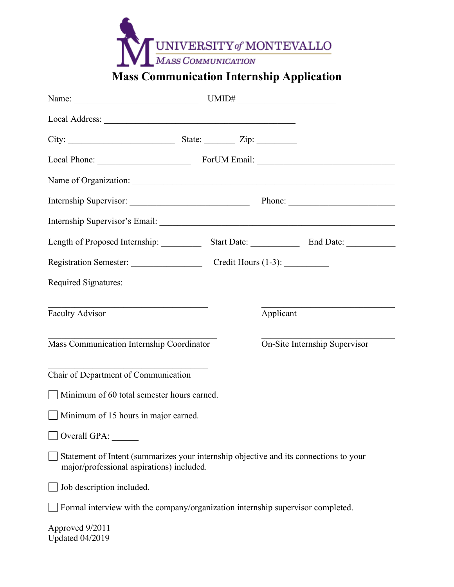

# **Mass Communication Internship Application**

| Length of Proposed Internship:                                                                                                     | Start Date: <u>Contract Contract Contract Contract Contract Contract Contract Contract Contract Contract Contract Contract Contract Contract Contract Contract Contract Contract Contract Contract Contract Contract Contract Co</u> |  |
|------------------------------------------------------------------------------------------------------------------------------------|--------------------------------------------------------------------------------------------------------------------------------------------------------------------------------------------------------------------------------------|--|
|                                                                                                                                    |                                                                                                                                                                                                                                      |  |
| Required Signatures:                                                                                                               |                                                                                                                                                                                                                                      |  |
| <u> 1990 - Johann Barbara, martin a</u><br>Faculty Advisor                                                                         | Applicant                                                                                                                                                                                                                            |  |
| Mass Communication Internship Coordinator                                                                                          | On-Site Internship Supervisor                                                                                                                                                                                                        |  |
| Chair of Department of Communication                                                                                               |                                                                                                                                                                                                                                      |  |
| Minimum of 60 total semester hours earned.                                                                                         |                                                                                                                                                                                                                                      |  |
| $\Box$ Minimum of 15 hours in major earned.                                                                                        |                                                                                                                                                                                                                                      |  |
| Overall GPA:                                                                                                                       |                                                                                                                                                                                                                                      |  |
| Statement of Intent (summarizes your internship objective and its connections to your<br>major/professional aspirations) included. |                                                                                                                                                                                                                                      |  |
| Job description included.                                                                                                          |                                                                                                                                                                                                                                      |  |
| Formal interview with the company/organization internship supervisor completed.                                                    |                                                                                                                                                                                                                                      |  |
| Approved 9/2011<br><b>Updated 04/2019</b>                                                                                          |                                                                                                                                                                                                                                      |  |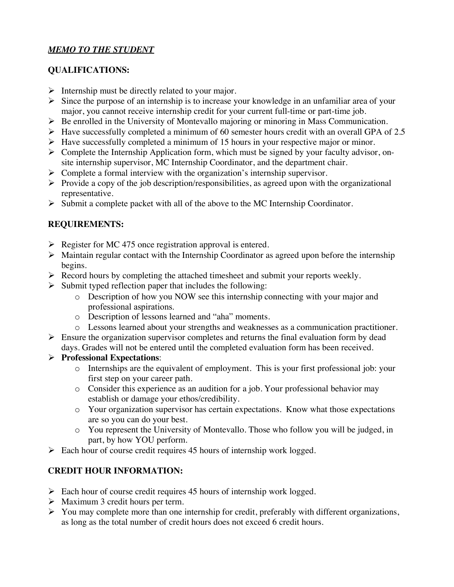# *MEMO TO THE STUDENT*

# **QUALIFICATIONS:**

- $\triangleright$  Internship must be directly related to your major.
- $\triangleright$  Since the purpose of an internship is to increase your knowledge in an unfamiliar area of your major, you cannot receive internship credit for your current full-time or part-time job.
- $\triangleright$  Be enrolled in the University of Montevallo majoring or minoring in Mass Communication.
- $\blacktriangleright$  Have successfully completed a minimum of 60 semester hours credit with an overall GPA of 2.5
- $\triangleright$  Have successfully completed a minimum of 15 hours in your respective major or minor.
- $\triangleright$  Complete the Internship Application form, which must be signed by your faculty advisor, onsite internship supervisor, MC Internship Coordinator, and the department chair.
- $\triangleright$  Complete a formal interview with the organization's internship supervisor.
- $\triangleright$  Provide a copy of the job description/responsibilities, as agreed upon with the organizational representative.
- $\triangleright$  Submit a complete packet with all of the above to the MC Internship Coordinator.

# **REQUIREMENTS:**

- $\triangleright$  Register for MC 475 once registration approval is entered.
- $\triangleright$  Maintain regular contact with the Internship Coordinator as agreed upon before the internship begins.
- $\triangleright$  Record hours by completing the attached timesheet and submit your reports weekly.
- $\triangleright$  Submit typed reflection paper that includes the following:
	- o Description of how you NOW see this internship connecting with your major and professional aspirations.
	- o Description of lessons learned and "aha" moments.
- o Lessons learned about your strengths and weaknesses as a communication practitioner.
- $\triangleright$  Ensure the organization supervisor completes and returns the final evaluation form by dead days. Grades will not be entered until the completed evaluation form has been received.

#### Ø **Professional Expectations**:

- o Internships are the equivalent of employment. This is your first professional job: your first step on your career path.
- o Consider this experience as an audition for a job. Your professional behavior may establish or damage your ethos/credibility.
- o Your organization supervisor has certain expectations. Know what those expectations are so you can do your best.
- o You represent the University of Montevallo. Those who follow you will be judged, in part, by how YOU perform.
- $\triangleright$  Each hour of course credit requires 45 hours of internship work logged.

# **CREDIT HOUR INFORMATION:**

- $\triangleright$  Each hour of course credit requires 45 hours of internship work logged.
- $\triangleright$  Maximum 3 credit hours per term.
- $\triangleright$  You may complete more than one internship for credit, preferably with different organizations, as long as the total number of credit hours does not exceed 6 credit hours.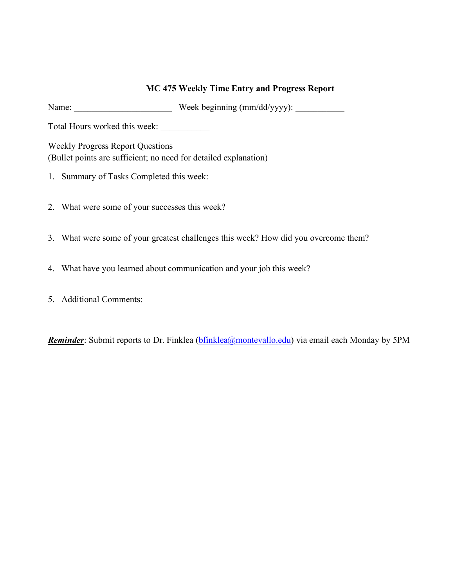# **MC 475 Weekly Time Entry and Progress Report**

Name: Week beginning (mm/dd/yyyy):

Total Hours worked this week: \_\_\_\_\_\_\_\_\_\_\_

Weekly Progress Report Questions (Bullet points are sufficient; no need for detailed explanation)

- 1. Summary of Tasks Completed this week:
- 2. What were some of your successes this week?
- 3. What were some of your greatest challenges this week? How did you overcome them?
- 4. What have you learned about communication and your job this week?
- 5. Additional Comments:

*Reminder*: Submit reports to Dr. Finklea (*bfinklea@montevallo.edu*) via email each Monday by 5PM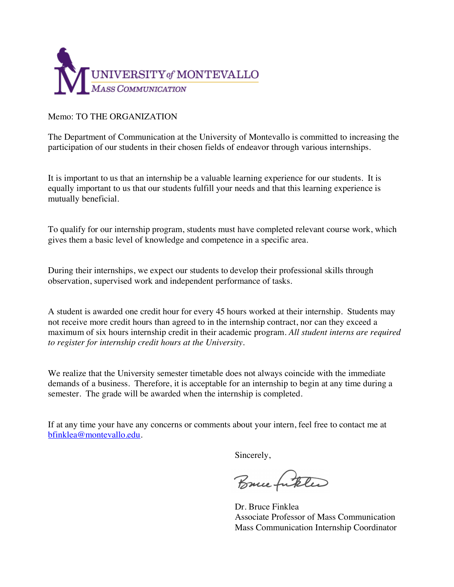

#### Memo: TO THE ORGANIZATION

The Department of Communication at the University of Montevallo is committed to increasing the participation of our students in their chosen fields of endeavor through various internships.

It is important to us that an internship be a valuable learning experience for our students. It is equally important to us that our students fulfill your needs and that this learning experience is mutually beneficial.

To qualify for our internship program, students must have completed relevant course work, which gives them a basic level of knowledge and competence in a specific area.

During their internships, we expect our students to develop their professional skills through observation, supervised work and independent performance of tasks.

A student is awarded one credit hour for every 45 hours worked at their internship. Students may not receive more credit hours than agreed to in the internship contract, nor can they exceed a maximum of six hours internship credit in their academic program. *All student interns are required to register for internship credit hours at the University.*

We realize that the University semester timetable does not always coincide with the immediate demands of a business. Therefore, it is acceptable for an internship to begin at any time during a semester. The grade will be awarded when the internship is completed.

If at any time your have any concerns or comments about your intern, feel free to contact me at bfinklea@montevallo.edu.

Sincerely,

Bruce futeled

Dr. Bruce Finklea Associate Professor of Mass Communication Mass Communication Internship Coordinator